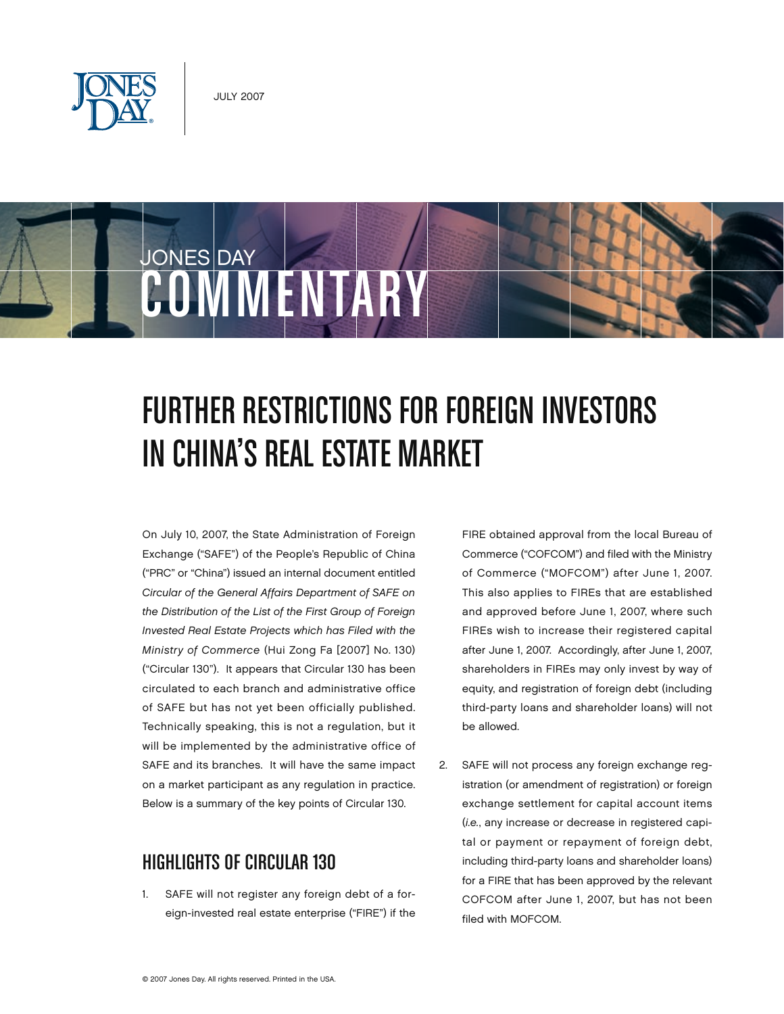

JONES DAY

## FURTHER RESTRICTIONS FOR FOREIGN INVESTORS in China's Real Estate Market

On July 10, 2007, the State Administration of Foreign Exchange ("SAFE") of the People's Republic of China ("PRC" or "China") issued an internal document entitled *Circular of the General Affairs Department of SAFE on the Distribution of the List of the First Group of Foreign Invested Real Estate Projects which has Filed with the Ministry of Commerce* (Hui Zong Fa [2007] No. 130) ("Circular 130"). It appears that Circular 130 has been circulated to each branch and administrative office of SAFE but has not yet been officially published. Technically speaking, this is not a regulation, but it will be implemented by the administrative office of SAFE and its branches. It will have the same impact on a market participant as any regulation in practice. Below is a summary of the key points of Circular 130.

COMMENTARY

## Highlights of Circular 130

1. SAFE will not register any foreign debt of a foreign-invested real estate enterprise ("FIRE") if the FIRE obtained approval from the local Bureau of Commerce ("COFCOM") and filed with the Ministry of Commerce ("MOFCOM") after June 1, 2007. This also applies to FIREs that are established and approved before June 1, 2007, where such FIREs wish to increase their registered capital after June 1, 2007. Accordingly, after June 1, 2007, shareholders in FIREs may only invest by way of equity, and registration of foreign debt (including third-party loans and shareholder loans) will not be allowed.

2. SAFE will not process any foreign exchange registration (or amendment of registration) or foreign exchange settlement for capital account items (*i.e.*, any increase or decrease in registered capital or payment or repayment of foreign debt, including third-party loans and shareholder loans) for a FIRE that has been approved by the relevant COFCOM after June 1, 2007, but has not been filed with MOFCOM.